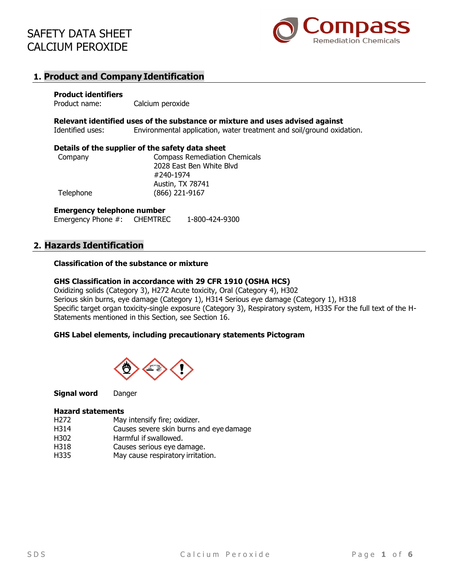

# **1. Product and Company Identification**

#### **Product identifiers**

Product name: Calcium peroxide

**Relevant identified uses of the substance or mixture and uses advised against**

Identified uses: Environmental application, water treatment and soil/ground oxidation.

#### **Details of the supplier of the safety data sheet**

| Company   | <b>Compass Remediation Chemicals</b> |
|-----------|--------------------------------------|
|           | 2028 East Ben White Blyd             |
|           | #240-1974                            |
|           | Austin, TX 78741                     |
| Telephone | (866) 221-9167                       |

#### **Emergency telephone number**

Emergency Phone #: CHEMTREC 1-800-424-9300

## **2. Hazards Identification**

#### **Classification of the substance or mixture**

#### **GHS Classification in accordance with 29 CFR 1910 (OSHA HCS)**

Oxidizing solids (Category 3), H272 Acute toxicity, Oral (Category 4), H302 Serious skin burns, eye damage (Category 1), H314 Serious eye damage (Category 1), H318 Specific target organ toxicity-single exposure (Category 3), Respiratory system, H335 For the full text of the H-Statements mentioned in this Section, see Section 16.

#### **GHS Label elements, including precautionary statements Pictogram**



**Signal word** Danger

#### **Hazard statements**

- H272 May intensify fire; oxidizer.
- H314 Causes severe skin burns and eye damage
- H302 Harmful if swallowed.
- H318 Causes serious eye damage.
- H335 May cause respiratory irritation.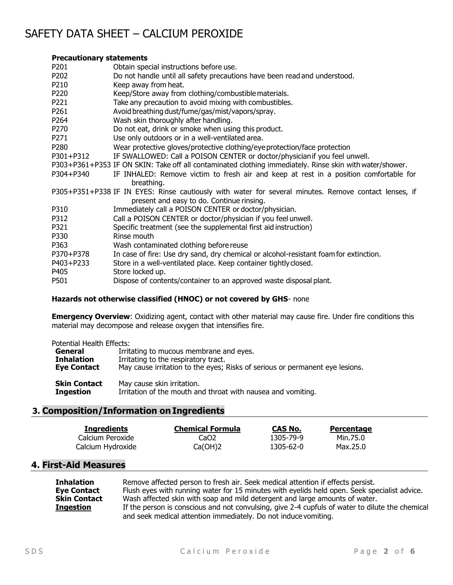### **Precautionary statements**

| P201             | Obtain special instructions before use.                                                                                                            |
|------------------|----------------------------------------------------------------------------------------------------------------------------------------------------|
| P202             | Do not handle until all safety precautions have been read and understood.                                                                          |
| P210             | Keep away from heat.                                                                                                                               |
| P220             | Keep/Store away from clothing/combustible materials.                                                                                               |
| P221             | Take any precaution to avoid mixing with combustibles.                                                                                             |
| P261             | Avoid breathing dust/fume/gas/mist/vapors/spray.                                                                                                   |
| P264             | Wash skin thoroughly after handling.                                                                                                               |
| P270             | Do not eat, drink or smoke when using this product.                                                                                                |
| P271             | Use only outdoors or in a well-ventilated area.                                                                                                    |
| P <sub>280</sub> | Wear protective gloves/protective clothing/eye protection/face protection                                                                          |
| P301+P312        | IF SWALLOWED: Call a POISON CENTER or doctor/physicianif you feel unwell.                                                                          |
|                  | P303+P361+P353 IF ON SKIN: Take off all contaminated clothing immediately. Rinse skin with water/shower.                                           |
| P304+P340        | IF INHALED: Remove victim to fresh air and keep at rest in a position comfortable for<br>breathing.                                                |
|                  | P305+P351+P338 IF IN EYES: Rinse cautiously with water for several minutes. Remove contact lenses, if<br>present and easy to do. Continue rinsing. |
| P310             | Immediately call a POISON CENTER or doctor/physician.                                                                                              |
| P312             | Call a POISON CENTER or doctor/physician if you feel unwell.                                                                                       |
| P321             | Specific treatment (see the supplemental first aid instruction)                                                                                    |
| P330             | Rinse mouth                                                                                                                                        |
| P363             | Wash contaminated clothing before reuse                                                                                                            |
| P370+P378        | In case of fire: Use dry sand, dry chemical or alcohol-resistant foam for extinction.                                                              |
| P403+P233        | Store in a well-ventilated place. Keep container tightly closed.                                                                                   |
| P405             | Store locked up.                                                                                                                                   |
| P501             | Dispose of contents/container to an approved waste disposal plant.                                                                                 |

#### **Hazards not otherwise classified (HNOC) or not covered by GHS**- none

**Emergency Overview**: Oxidizing agent, contact with other material may cause fire. Under fire conditions this material may decompose and release oxygen that intensifies fire.

Potential Health Effects:

| General             | Irritating to mucous membrane and eyes.                                      |  |
|---------------------|------------------------------------------------------------------------------|--|
| <b>Inhalation</b>   | Irritating to the respiratory tract.                                         |  |
| <b>Eye Contact</b>  | May cause irritation to the eyes; Risks of serious or permanent eye lesions. |  |
| <b>Skin Contact</b> | May cause skin irritation.                                                   |  |
| <b>Ingestion</b>    | Irritation of the mouth and throat with nausea and vomiting.                 |  |

## **3. Composition/Information on Ingredients**

| Ingredients       | <b>Chemical Formula</b> | CAS No.   | Percentage |
|-------------------|-------------------------|-----------|------------|
| Calcium Peroxide  | CaO2                    | 1305-79-9 | Min.75.0   |
| Calcium Hydroxide | Ca(OH)2                 | 1305-62-0 | Max.25.0   |

# **4. First-Aid Measures**

| Inhalation         | Remove affected person to fresh air. Seek medical attention if effects persist.                 |
|--------------------|-------------------------------------------------------------------------------------------------|
| <b>Eye Contact</b> | Flush eyes with running water for 15 minutes with eyelids held open. Seek specialist advice.    |
| Skin Contact       | Wash affected skin with soap and mild detergent and large amounts of water.                     |
| Ingestion          | If the person is conscious and not convulsing, give 2-4 cupfuls of water to dilute the chemical |
|                    | and seek medical attention immediately. Do not induce vomiting.                                 |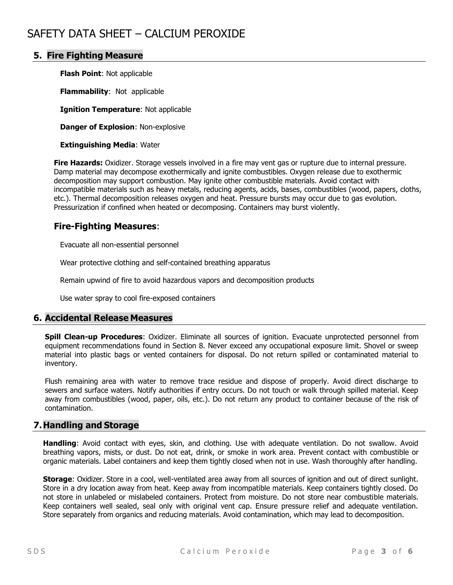## **5. Fire Fighting Measure**

**Flash Point**: Not applicable

**Flammability**: Not applicable

**Ignition Temperature**: Not applicable

**Danger of Explosion**: Non-explosive

**Extinguishing Media**: Water

**Fire Hazards:** Oxidizer. Storage vessels involved in a fire may vent gas or rupture due to internal pressure. Damp material may decompose exothermically and ignite combustibles. Oxygen release due to exothermic decomposition may support combustion. May ignite other combustible materials. Avoid contact with incompatible materials such as heavy metals, reducing agents, acids, bases, combustibles (wood, papers, cloths, etc.). Thermal decomposition releases oxygen and heat. Pressure bursts may occur due to gas evolution. Pressurization if confined when heated or decomposing. Containers may burst violently.

## **Fire-Fighting Measures**:

Evacuate all non-essential personnel

Wear protective clothing and self-contained breathing apparatus

Remain upwind of fire to avoid hazardous vapors and decomposition products

Use water spray to cool fire-exposed containers

## **6. Accidental Release Measures**

**Spill Clean-up Procedures**: Oxidizer. Eliminate all sources of ignition. Evacuate unprotected personnel from equipment recommendations found in Section 8. Never exceed any occupational exposure limit. Shovel or sweep material into plastic bags or vented containers for disposal. Do not return spilled or contaminated material to inventory.

Flush remaining area with water to remove trace residue and dispose of properly. Avoid direct discharge to sewers and surface waters. Notify authorities if entry occurs. Do not touch or walk through spilled material. Keep away from combustibles (wood, paper, oils, etc.). Do not return any product to container because of the risk of contamination.

## **7.Handling and Storage**

**Handling**: Avoid contact with eyes, skin, and clothing. Use with adequate ventilation. Do not swallow. Avoid breathing vapors, mists, or dust. Do not eat, drink, or smoke in work area. Prevent contact with combustible or organic materials. Label containers and keep them tightly closed when not in use. Wash thoroughly after handling.

**Storage**: Oxidizer. Store in a cool, well-ventilated area away from all sources of ignition and out of direct sunlight. Store in a dry location away from heat. Keep away from incompatible materials. Keep containers tightly closed. Do not store in unlabeled or mislabeled containers. Protect from moisture. Do not store near combustible materials. Keep containers well sealed, seal only with original vent cap. Ensure pressure relief and adequate ventilation. Store separately from organics and reducing materials. Avoid contamination, which may lead to decomposition.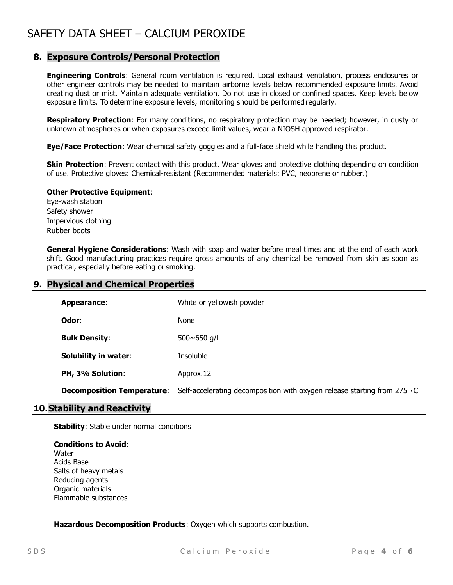## **8. Exposure Controls/Personal Protection**

**Engineering Controls**: General room ventilation is required. Local exhaust ventilation, process enclosures or other engineer controls may be needed to maintain airborne levels below recommended exposure limits. Avoid creating dust or mist. Maintain adequate ventilation. Do not use in closed or confined spaces. Keep levels below exposure limits. To determine exposure levels, monitoring should be performed regularly.

**Respiratory Protection**: For many conditions, no respiratory protection may be needed; however, in dusty or unknown atmospheres or when exposures exceed limit values, wear a NIOSH approved respirator.

**Eye/Face Protection**: Wear chemical safety goggles and a full-face shield while handling this product.

**Skin Protection**: Prevent contact with this product. Wear gloves and protective clothing depending on condition of use. Protective gloves: Chemical-resistant (Recommended materials: PVC, neoprene or rubber.)

#### **Other Protective Equipment**:

Eye-wash station Safety shower Impervious clothing Rubber boots

**General Hygiene Considerations**: Wash with soap and water before meal times and at the end of each work shift. Good manufacturing practices require gross amounts of any chemical be removed from skin as soon as practical, especially before eating or smoking.

## **9. Physical and Chemical Properties**

| <b>Appearance:</b>                | White or yellowish powder                                                 |  |
|-----------------------------------|---------------------------------------------------------------------------|--|
| Odor:                             | None                                                                      |  |
| <b>Bulk Density:</b>              | 500 $\sim$ 650 g/L                                                        |  |
| <b>Solubility in water:</b>       | Insoluble                                                                 |  |
| PH, 3% Solution:                  | Approx.12                                                                 |  |
| <b>Decomposition Temperature:</b> | Self-accelerating decomposition with oxygen release starting from 275 · C |  |

## **10.Stability and Reactivity**

**Stability:** Stable under normal conditions

#### **Conditions to Avoid**: **Water** Acids Base Salts of heavy metals Reducing agents Organic materials Flammable substances

**Hazardous Decomposition Products**: Oxygen which supports combustion.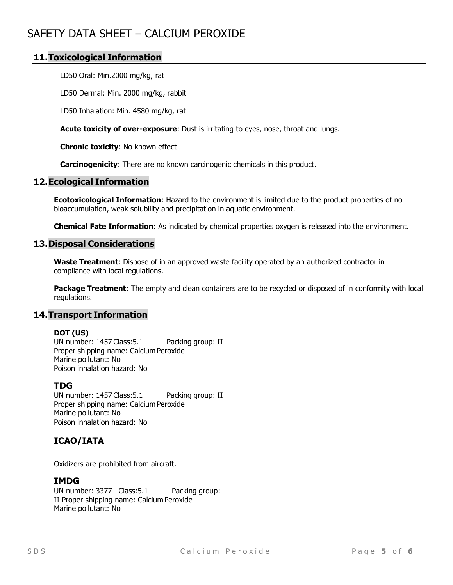## **11.Toxicological Information**

LD50 Oral: Min.2000 mg/kg, rat

LD50 Dermal: Min. 2000 mg/kg, rabbit

LD50 Inhalation: Min. 4580 mg/kg, rat

**Acute toxicity of over-exposure**: Dust is irritating to eyes, nose, throat and lungs.

**Chronic toxicity**: No known effect

**Carcinogenicity**: There are no known carcinogenic chemicals in this product.

#### **12.Ecological Information**

**Ecotoxicological Information**: Hazard to the environment is limited due to the product properties of no bioaccumulation, weak solubility and precipitation in aquatic environment.

**Chemical Fate Information**: As indicated by chemical properties oxygen is released into the environment.

#### **13.Disposal Considerations**

**Waste Treatment**: Dispose of in an approved waste facility operated by an authorized contractor in compliance with local regulations.

**Package Treatment**: The empty and clean containers are to be recycled or disposed of in conformity with local regulations.

#### **14.Transport Information**

#### **DOT (US)**

UN number: 1457 Class: 5.1 Packing group: II Proper shipping name: Calcium Peroxide Marine pollutant: No Poison inhalation hazard: No

#### **TDG**

UN number: 1457 Class: 5.1 Packing group: II Proper shipping name: Calcium Peroxide Marine pollutant: No Poison inhalation hazard: No

## **ICAO/IATA**

Oxidizers are prohibited from aircraft.

## **IMDG**

UN number: 3377 Class: 5.1 Packing group: II Proper shipping name: Calcium Peroxide Marine pollutant: No